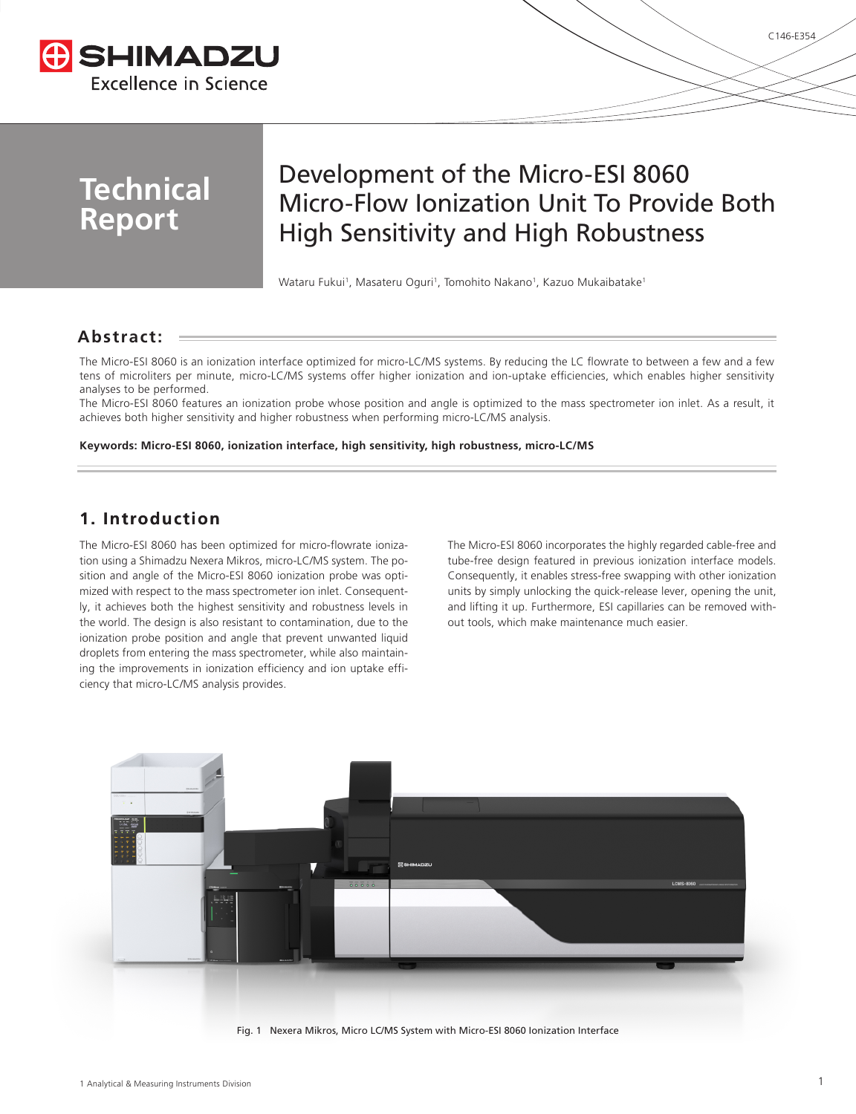

# **Technical Report**

# Development of the Micro-ESI 8060 Micro-Flow Ionization Unit To Provide Both High Sensitivity and High Robustness

Wataru Fukui<sup>1</sup>, Masateru Oguri<sup>1</sup>, Tomohito Nakano<sup>1</sup>, Kazuo Mukaibatake<sup>1</sup>

# **Abstract:**

The Micro-ESI 8060 is an ionization interface optimized for micro-LC/MS systems. By reducing the LC flowrate to between a few and a few tens of microliters per minute, micro-LC/MS systems offer higher ionization and ion-uptake efficiencies, which enables higher sensitivity analyses to be performed.

The Micro-ESI 8060 features an ionization probe whose position and angle is optimized to the mass spectrometer ion inlet. As a result, it achieves both higher sensitivity and higher robustness when performing micro-LC/MS analysis.

### **Keywords: Micro-ESI 8060, ionization interface, high sensitivity, high robustness, micro-LC/MS**

# **1. Introduction**

The Micro-ESI 8060 has been optimized for micro-flowrate ionization using a Shimadzu Nexera Mikros, micro-LC/MS system. The position and angle of the Micro-ESI 8060 ionization probe was optimized with respect to the mass spectrometer ion inlet. Consequently, it achieves both the highest sensitivity and robustness levels in the world. The design is also resistant to contamination, due to the ionization probe position and angle that prevent unwanted liquid droplets from entering the mass spectrometer, while also maintaining the improvements in ionization efficiency and ion uptake efficiency that micro-LC/MS analysis provides.

The Micro-ESI 8060 incorporates the highly regarded cable-free and tube-free design featured in previous ionization interface models. Consequently, it enables stress-free swapping with other ionization units by simply unlocking the quick-release lever, opening the unit, and lifting it up. Furthermore, ESI capillaries can be removed without tools, which make maintenance much easier.

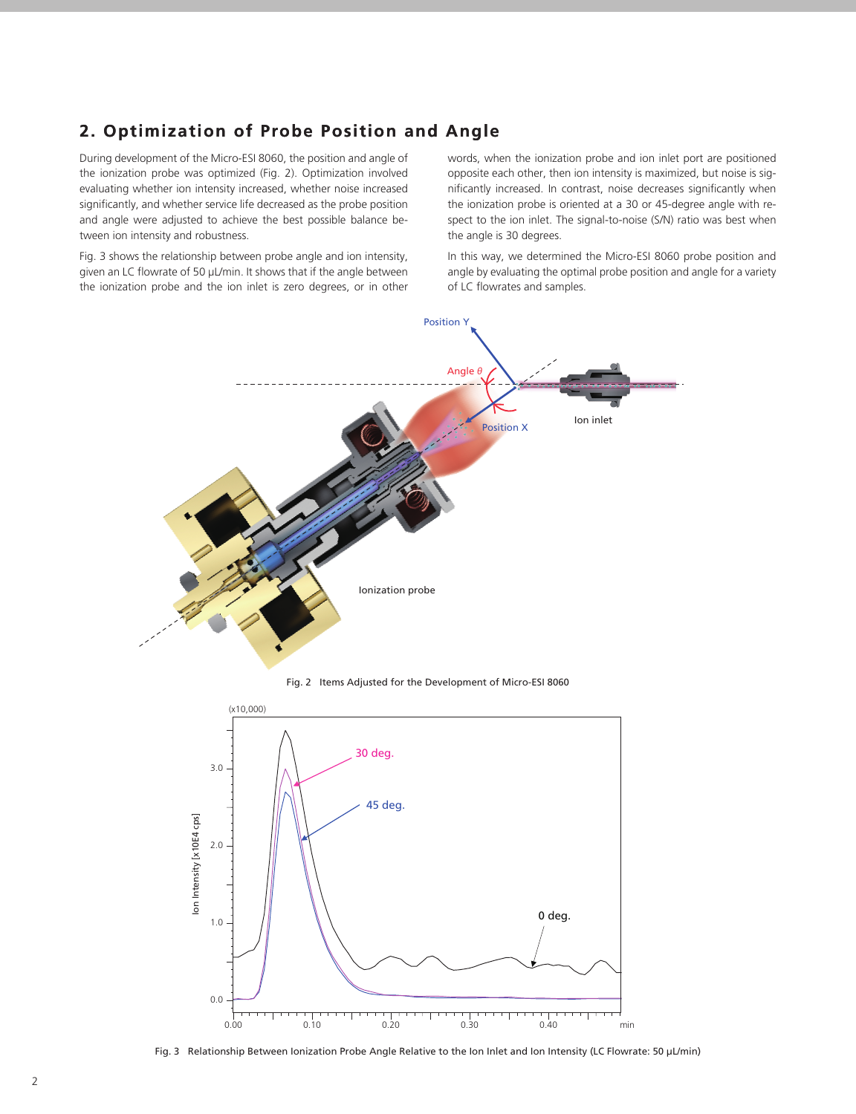# **2. Optimization of Probe Position and Angle**

During development of the Micro-ESI 8060, the position and angle of the ionization probe was optimized (Fig. 2). Optimization involved evaluating whether ion intensity increased, whether noise increased significantly, and whether service life decreased as the probe position and angle were adjusted to achieve the best possible balance between ion intensity and robustness.

Fig. 3 shows the relationship between probe angle and ion intensity, given an LC flowrate of 50 µL/min. It shows that if the angle between the ionization probe and the ion inlet is zero degrees, or in other words, when the ionization probe and ion inlet port are positioned opposite each other, then ion intensity is maximized, but noise is significantly increased. In contrast, noise decreases significantly when the ionization probe is oriented at a 30 or 45-degree angle with respect to the ion inlet. The signal-to-noise (S/N) ratio was best when the angle is 30 degrees.

In this way, we determined the Micro-ESI 8060 probe position and angle by evaluating the optimal probe position and angle for a variety of LC flowrates and samples.



Fig. 2 Items Adjusted for the Development of Micro-ESI 8060



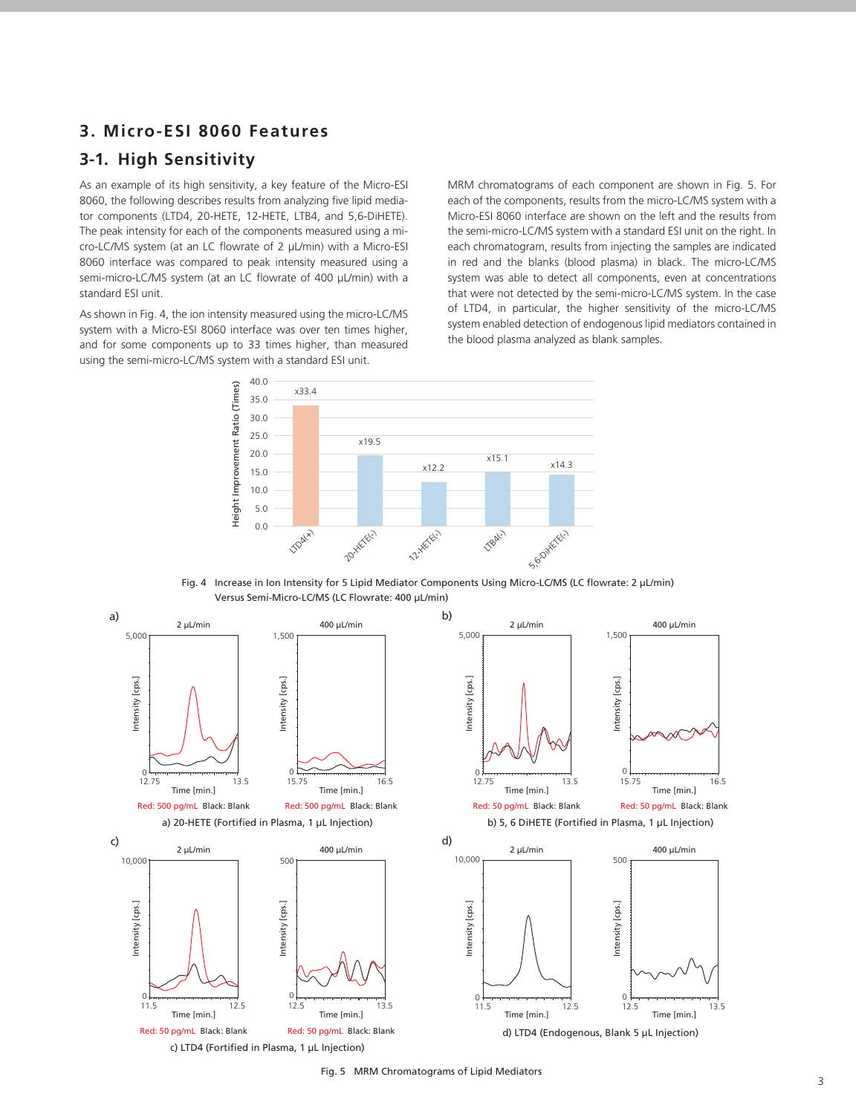## **3. Micro-ESI 8060 Features**

# **3-1. High Sensitivity**

As an example of its high sensitivity, a key feature of the Micro-ESI 8060, the following describes results from analyzing five lipid mediator components (LTD4, 20-HETE, 12-HETE, LTB4, and 5,6-DiHETE). The peak intensity for each of the components measured using a micro-LC/MS system (at an LC flowrate of 2 µL/min) with a Micro-ESI 8060 interface was compared to peak intensity measured using a semi-micro-LC/MS system (at an LC flowrate of 400 µL/min) with a standard ESI unit.

As shown in Fig. 4, the ion intensity measured using the micro-LC/MS system with a Micro-ESI 8060 interface was over ten times higher, and for some components up to 33 times higher, than measured using the semi-micro-LC/MS system with a standard ESI unit.

MRM chromatograms of each component are shown in Fig. 5. For each of the components, results from the micro-LC/MS system with a Micro-ESI 8060 interface are shown on the left and the results from the semi-micro-LC/MS system with a standard ESI unit on the right. In each chromatogram, results from injecting the samples are indicated in red and the blanks (blood plasma) in black. The micro-LC/MS system was able to detect all components, even at concentrations that were not detected by the semi-micro-LC/MS system. In the case of LTD4, in particular, the higher sensitivity of the micro-LC/MS system enabled detection of endogenous lipid mediators contained in the blood plasma analyzed as blank samples.







 $\frac{2}{3}$ Fig. 5 MRM Chromatograms of Lipid Mediators